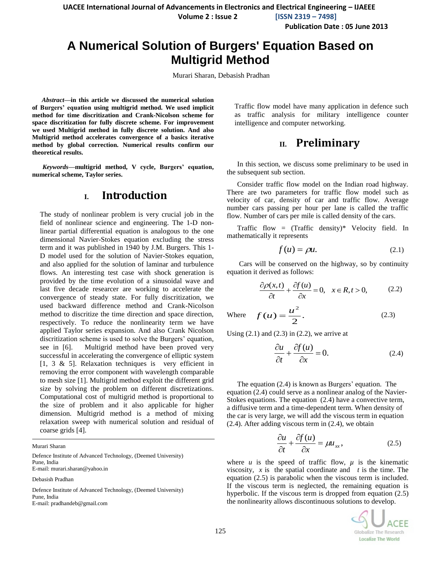**UACEE International Journal of Advancements in Electronics and Electrical Engineering – IJAEEE**

**Volume 2 : Issue 2 [ISSN 2319 – 7498]**

**Publication Date : 05 June 2013**

# **A Numerical Solution of Burgers' Equation Based on Multigrid Method**

Murari Sharan, Debasish Pradhan

*Abstract***—in this article we discussed the numerical solution of Burgers' equation using multigrid method. We used implicit method for time discritization and Crank-Nicolson scheme for space discritization for fully discrete scheme. For improvement we used Multigrid method in fully discrete solution. And also Multigrid method accelerates convergence of a basics iterative method by global correction. Numerical results confirm our theoretical results.** 

*Keywords—***multigrid method, V cycle, Burgers' equation, numerical scheme, Taylor series.**

#### **I. Introduction**

The study of nonlinear problem is very crucial job in the field of nonlinear science and engineering. The 1-D nonlinear partial differential equation is analogous to the one dimensional Navier-Stokes equation excluding the stress term and it was published in 1940 by J.M. Burgers. This 1- D model used for the solution of Navier-Stokes equation, and also applied for the solution of laminar and turbulence flows. An interesting test case with shock generation is provided by the time evolution of a sinusoidal wave and last five decade researcer are working to accelerate the convergence of steady state. For fully discritization, we used backward difference method and Crank-Nicolson method to discritize the time direction and space direction, respectively. To reduce the nonlinearity term we have applied Taylor series expansion. And also Crank Nicolson discritization scheme is used to solve the Burgers' equation, see in [6]. Multigrid method have been proved very successful in accelerating the convergence of elliptic system [1, 3 & 5]. Relaxation techniques is very efficient in removing the error component with wavelength comparable to mesh size [1]. Multigrid method exploit the different grid size by solving the problem on different discretizations. Computational cost of multigrid method is proportional to the size of problem and it also applicable for higher dimension. Multigrid method is a method of mixing relaxation sweep with numerical solution and residual of coarse grids [4].

Murari Sharan

Defence Institute of Advanced Technology, (Deemed University) Pune, India E-mail: murari.sharan@yahoo.in

Debasish Pradhan

Defence Institute of Advanced Technology, (Deemed University) Pune, India E-mail: pradhandeb@gmail.com

Traffic flow model have many application in defence such as traffic analysis for military intelligence counter intelligence and computer networking.

#### **II. Preliminary**

In this section, we discuss some preliminary to be used in the subsequent sub section.

Consider traffic flow model on the Indian road highway. There are two parameters for traffic flow model such as velocity of car, density of car and traffic flow. Average number cars passing per hour per lane is called the traffic flow. Number of cars per mile is called density of the cars.

Traffic flow =  $(That)$ <sup>\*</sup> Velocity field. In mathematically it represents

$$
f(u) = \rho u. \tag{2.1}
$$

Cars will be conserved on the highway, so by continuity equation it derived as follows:

$$
\frac{\partial \rho(x,t)}{\partial t} + \frac{\partial f(u)}{\partial x} = 0, \quad x \in R, t > 0,
$$
 (2.2)

Where 
$$
f(u) = \frac{u^2}{2}.
$$
 (2.3)

Using  $(2.1)$  and  $(2.3)$  in  $(2.2)$ , we arrive at

$$
\frac{\partial u}{\partial t} + \frac{\partial f(u)}{\partial x} = 0.
$$
 (2.4)

The equation (2.4) is known as Burgers' equation. The equation (2.4) could serve as a nonlinear analog of the Navier-Stokes equations. The equation (2.4) have a convective term, a diffusive term and a time-dependent term. When density of the car is very large, we will add the viscous term in equation (2.4). After adding viscous term in (2.4), we obtain

$$
\frac{\partial u}{\partial t} + \frac{\partial f(u)}{\partial x} = \mu u_{xx},\tag{2.5}
$$

where  $u$  is the speed of traffic flow,  $\mu$  is the kinematic viscosity*, x* is the spatial coordinate and *t* is the time. The equation (2.5) is parabolic when the viscous term is included. If the viscous term is neglected, the remaining equation is hyperbolic. If the viscous term is dropped from equation  $(2.5)$ the nonlinearity allows discontinuous solutions to develop.

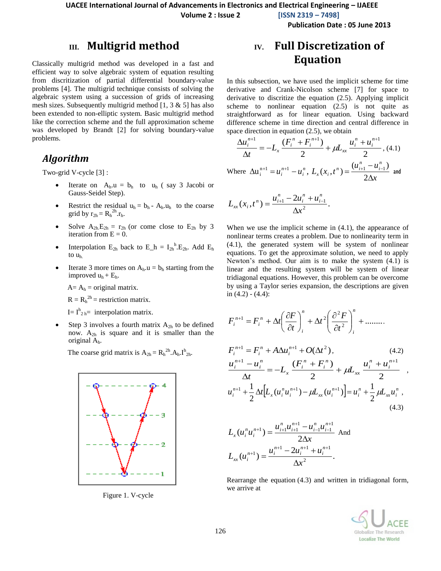**Volume 2 : Issue 2 [ISSN 2319 – 7498]**

**Publication Date : 05 June 2013**

#### **III. Multigrid method**

Classically multigrid method was developed in a fast and efficient way to solve algebraic system of equation resulting from discritization of partial differential boundary-value problems [4]. The multigrid technique consists of solving the algebraic system using a succession of grids of increasing mesh sizes. Subsequently multigrid method  $[1, 3 \& 5]$  has also been extended to non-elliptic system. Basic multigrid method like the correction scheme and the full approximation scheme was developed by Brandt [2] for solving boundary-value problems.

#### *Algorithm*

Two-grid V-cycle [3] :

- Iterate on  $A_h.u = b_h$  to  $u_h$  (say 3 Jacobi or Gauss-Seidel Step).
- Restrict the residual  $u_h = b_h A_h.u_h$  to the coarse grid by  $r_{2h} = R_h^{2h} . r_h$ .
- Solve  $A_{2h}E_{2h} = r_{2h}$  (or come close to  $E_{2h}$  by 3 iteration from  $E = 0$ .
- Interpolation  $E_{2h}$  back to  $E_h = I_{2h}^h$ . E<sub>2h</sub>. Add  $E_h$ to uh.
- Iterate 3 more times on  $A_h.u = b_h$  starting from the improved  $u_h + E_h$ .

 $A = A_h =$  original matrix.

 $R = R_h^{2h}$  = restriction matrix.

 $I=I_{2h}^{h}$  interpolation matrix.

• Step 3 involves a fourth matrix  $A_{2h}$  to be defined now.  $A_{2h}$  is square and it is smaller than the original Ah.

The coarse grid matrix is  $A_{2h} = R_h^{2h} A_h I^h_{2h}$ .



Figure 1. V-cycle

# **IV. Full Discretization of Equation**

In this subsection, we have used the implicit scheme for time derivative and Crank-Nicolson scheme [7] for space to derivative to discritize the equation (2.5). Applying implicit scheme to nonlinear equation (2.5) is not quite as straightforward as for linear equation. Using backward difference scheme in time direction and central difference in space direction in equation (2.5), we obtain

$$
\frac{\Delta u_i^{n+1}}{\Delta t} = -L_x \frac{(F_i^n + F_i^{n+1})}{2} + \mu L_x \frac{u_i^n + u_i^{n+1}}{2}, (4.1)
$$

Where *x*  $u_i^{n+1} - u_i^n$ ,  $L_x(x_i, t)$ *i*  $n_i$ <sup>*i*</sup>  $\mathbf{x} \setminus \mathbf{x}_i$ *n i n*  $\mu_i$ ,  $L_x(\lambda_i, \ell)$  -  $2\Delta$  $\Delta u_i^{n+1} = u_i^{n+1} - u_i^n, L_x(x_i, t^n) = \frac{(u_{i+1} - u_{i-1})}{\Delta u_{i+1}^2}$ 2  $u_i^{n+1} = u_i^{n+1} - u_i^n$ ,  $L_r(x_i, t^n) = \frac{(u_{i+1} - u_{i-1})}{n}$  $\sum_{i=1}^{n+1} u_i^{n+1} - u_i^n$ ,  $L_x(x_i, t^n) = \frac{C_{i+1} + C_{i-1}}{2A}$  and

$$
L_{xx}(x_i,t^n) = \frac{u_{i+1}^n - 2u_i^n + u_{i-1}^n}{\Delta x^2}.
$$

When we use the implicit scheme in  $(4.1)$ , the appearance of nonlinear terms creates a problem. Due to nonlinearity term in (4.1), the generated system will be system of nonlinear equations. To get the approximate solution, we need to apply Newton's method. Our aim is to make the system (4.1) is linear and the resulting system will be system of linear tridiagonal equations. However, this problem can be overcome by using a Taylor series expansion, the descriptions are given in  $(4.2) - (4.4)$ :

$$
F_i^{n+1} = F_i^n + \Delta t \left( \frac{\partial F}{\partial t} \right)_i^n + \Delta t^2 \left( \frac{\partial^2 F}{\partial t^2} \right)_i^n + \dots \dots \dots
$$
  
\n
$$
F_i^{n+1} = F_i^n + A \Delta u_i^{n+1} + O(\Delta t^2), \qquad (4.2)
$$
  
\n
$$
\frac{u_i^{n+1} - u_i^n}{\Delta t} = -L_x \frac{(F_i^n + F_i^n)}{2} + \mu L_{xx} \frac{u_i^n + u_i^{n+1}}{2},
$$
  
\n
$$
u_i^{n+1} + \frac{1}{2} \Delta t \Big[ L_x (u_i^n u_i^{n+1}) - \mu L_{xx} (u_i^{n+1}) \Big] = u_i^n + \frac{1}{2} \mu L_{xx} u_i^n, \qquad (4.3)
$$

$$
L_x(u_i^n u_i^{n+1}) = \frac{u_{i+1}^n u_{i+1}^{n+1} - u_{i-1}^n u_{i-1}^{n+1}}{2\Delta x} \text{ And}
$$
  

$$
L_{xx}(u_i^{n+1}) = \frac{u_i^{n+1} - 2u_i^{n+1} + u_i^{n+1}}{\Delta x^2}.
$$

Rearrange the equation (4.3) and written in tridiagonal form, we arrive at

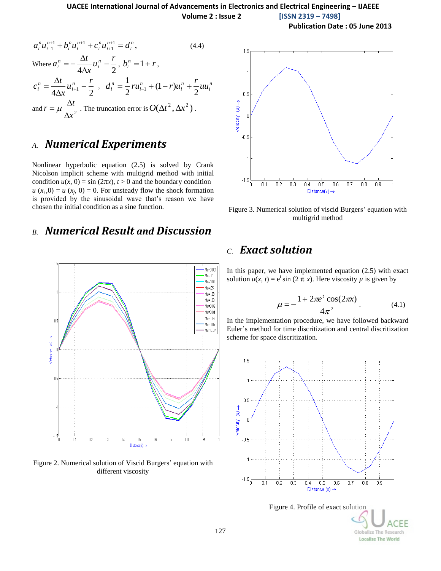**Publication Date : 05 June 2013**

$$
a_i^n u_{i-1}^{n+1} + b_i^n u_i^{n+1} + c_i^n u_{i+1}^{n+1} = d_i^n,
$$
 (4.4)  
\nWhere  $a_i^n = -\frac{\Delta t}{4\Delta x} u_i^n - \frac{r}{2}, b_i^n = 1 + r,$   
\n
$$
c_i^n = \frac{\Delta t}{4\Delta x} u_{i+1}^n - \frac{r}{2}, d_i^n = \frac{1}{2} r u_{i-1}^n + (1 - r) u_i^n + \frac{r}{2} u u_i^n
$$
  
\nand  $r = \mu \frac{\Delta t}{\Delta x^2}$ . The truncation error is  $O(\Delta t^2, \Delta x^2)$ .

## *A. Numerical Experiments*

Nonlinear hyperbolic equation (2.5) is solved by Crank Nicolson implicit scheme with multigrid method with initial condition  $u(x, 0) = \sin(2\pi x)$ ,  $t > 0$  and the boundary condition  $u(x_i,0) = u(x_f,0) = 0$ . For unsteady flow the shock formation is provided by the sinusoidal wave that's reason we have chosen the initial condition as a sine function.

# *B. Numerical Result and Discussion*



Figure 2. Numerical solution of Viscid Burgers' equation with different viscosity



Figure 3. Numerical solution of viscid Burgers' equation with multigrid method

## *C. Exact solution*

In this paper, we have implemented equation  $(2.5)$  with exact solution  $u(x, t) = e^t \sin(2 \pi x)$ . Here viscosity  $\mu$  is given by

$$
\mu = -\frac{1 + 2\pi e^t \cos(2\pi x)}{4\pi^2}.
$$
 (4.1)

In the implementation procedure, we have followed backward Euler's method for time discritization and central discritization scheme for space discritization.



FF Globalize The Research **Localize The World**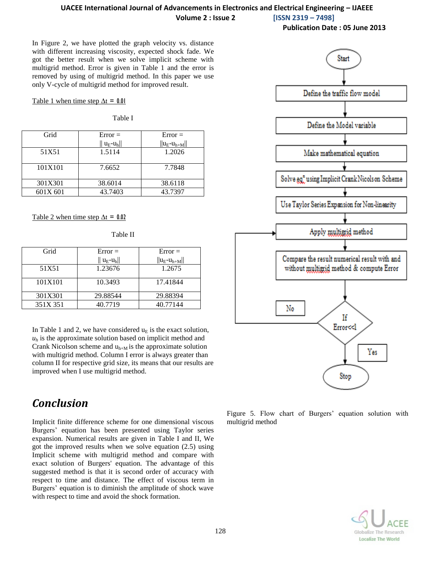#### **UACEE International Journal of Advancements in Electronics and Electrical Engineering – IJAEEE Volume 2 : Issue 2 [ISSN 2319 – 7498]**

**Publication Date : 05 June 2013**

In Figure 2, we have plotted the graph velocity vs. distance with different increasing viscosity, expected shock fade. We got the better result when we solve implicit scheme with multigrid method. Error is given in Table 1 and the error is removed by using of multigrid method. In this paper we use only V-cycle of multigrid method for improved result.

Table 1 when time step  $\Delta t = 0.01$ 

Table I

| Grid     | $Error =$     | $Error =$         |
|----------|---------------|-------------------|
|          | $\ u_E-u_h\ $ | $  u_E-u_{h+M}  $ |
| 51X51    | 1.5114        | 1.2026            |
|          |               |                   |
| 101X101  | 7.6652        | 7.7848            |
|          |               |                   |
| 301X301  | 38.6014       | 38.6118           |
| 601X 601 | 43.7403       | 43.7397           |

Table 2 when time step  $\Delta t = 0.02$ 

| ٠<br>×<br>۰.<br>۰.<br>۰. |
|--------------------------|
|--------------------------|

| Grid     | $Error =$         | $Error =$         |
|----------|-------------------|-------------------|
|          | $ u_{E} - u_{h} $ | $  u_E-u_{h+M}  $ |
| 51X51    | 1.23676           | 1.2675            |
| 101X101  | 10.3493           | 17.41844          |
| 301X301  | 29.88544          | 29.88394          |
| 351X 351 | 40.7719           | 40.77144          |

In Table 1 and 2, we have considered  $u_E$  is the exact solution,  $u_h$  is the approximate solution based on implicit method and Crank Nicolson scheme and  $u_{h+M}$  is the approximate solution with multigrid method. Column I error is always greater than column II for respective grid size, its means that our results are improved when I use multigrid method.

# *Conclusion*

Implicit finite difference scheme for one dimensional viscous Burgers' equation has been presented using Taylor series expansion. Numerical results are given in Table I and II, We got the improved results when we solve equation (2.5) using Implicit scheme with multigrid method and compare with exact solution of Burgers' equation. The advantage of this suggested method is that it is second order of accuracy with respect to time and distance. The effect of viscous term in Burgers' equation is to diminish the amplitude of shock wave with respect to time and avoid the shock formation.



Figure 5. Flow chart of Burgers' equation solution with multigrid method